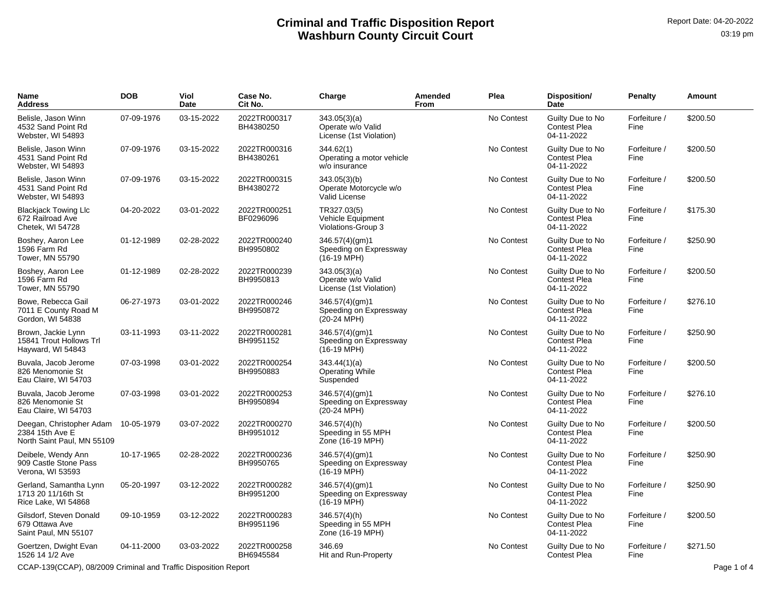| Name<br>Address                                                           | <b>DOB</b> | Viol<br>Date | Case No.<br>Cit No.       | Charge                                                            | Amended<br>From | Plea       | Disposition/<br>Date                                  | <b>Penalty</b>       | Amount   |
|---------------------------------------------------------------------------|------------|--------------|---------------------------|-------------------------------------------------------------------|-----------------|------------|-------------------------------------------------------|----------------------|----------|
| Belisle, Jason Winn<br>4532 Sand Point Rd<br>Webster, WI 54893            | 07-09-1976 | 03-15-2022   | 2022TR000317<br>BH4380250 | 343.05(3)(a)<br>Operate w/o Valid<br>License (1st Violation)      |                 | No Contest | Guilty Due to No<br><b>Contest Plea</b><br>04-11-2022 | Forfeiture /<br>Fine | \$200.50 |
| Belisle, Jason Winn<br>4531 Sand Point Rd<br>Webster, WI 54893            | 07-09-1976 | 03-15-2022   | 2022TR000316<br>BH4380261 | 344.62(1)<br>Operating a motor vehicle<br>w/o insurance           |                 | No Contest | Guilty Due to No<br><b>Contest Plea</b><br>04-11-2022 | Forfeiture /<br>Fine | \$200.50 |
| Belisle, Jason Winn<br>4531 Sand Point Rd<br>Webster, WI 54893            | 07-09-1976 | 03-15-2022   | 2022TR000315<br>BH4380272 | 343.05(3)(b)<br>Operate Motorcycle w/o<br>Valid License           |                 | No Contest | Guilty Due to No<br><b>Contest Plea</b><br>04-11-2022 | Forfeiture /<br>Fine | \$200.50 |
| <b>Blackjack Towing Llc</b><br>672 Railroad Ave<br>Chetek, WI 54728       | 04-20-2022 | 03-01-2022   | 2022TR000251<br>BF0296096 | TR327.03(5)<br>Vehicle Equipment<br>Violations-Group 3            |                 | No Contest | Guilty Due to No<br><b>Contest Plea</b><br>04-11-2022 | Forfeiture /<br>Fine | \$175.30 |
| Boshey, Aaron Lee<br>1596 Farm Rd<br>Tower, MN 55790                      | 01-12-1989 | 02-28-2022   | 2022TR000240<br>BH9950802 | 346.57(4)(gm)1<br>Speeding on Expressway<br>$(16-19 \text{ MPH})$ |                 | No Contest | Guilty Due to No<br><b>Contest Plea</b><br>04-11-2022 | Forfeiture /<br>Fine | \$250.90 |
| Boshey, Aaron Lee<br>1596 Farm Rd<br>Tower, MN 55790                      | 01-12-1989 | 02-28-2022   | 2022TR000239<br>BH9950813 | 343.05(3)(a)<br>Operate w/o Valid<br>License (1st Violation)      |                 | No Contest | Guilty Due to No<br><b>Contest Plea</b><br>04-11-2022 | Forfeiture /<br>Fine | \$200.50 |
| Bowe, Rebecca Gail<br>7011 E County Road M<br>Gordon, WI 54838            | 06-27-1973 | 03-01-2022   | 2022TR000246<br>BH9950872 | 346.57(4)(gm)1<br>Speeding on Expressway<br>(20-24 MPH)           |                 | No Contest | Guilty Due to No<br><b>Contest Plea</b><br>04-11-2022 | Forfeiture /<br>Fine | \$276.10 |
| Brown, Jackie Lynn<br>15841 Trout Hollows Trl<br>Hayward, WI 54843        | 03-11-1993 | 03-11-2022   | 2022TR000281<br>BH9951152 | 346.57(4)(gm)1<br>Speeding on Expressway<br>$(16-19 \text{ MPH})$ |                 | No Contest | Guilty Due to No<br><b>Contest Plea</b><br>04-11-2022 | Forfeiture /<br>Fine | \$250.90 |
| Buvala, Jacob Jerome<br>826 Menomonie St<br>Eau Claire, WI 54703          | 07-03-1998 | 03-01-2022   | 2022TR000254<br>BH9950883 | 343.44(1)(a)<br><b>Operating While</b><br>Suspended               |                 | No Contest | Guilty Due to No<br><b>Contest Plea</b><br>04-11-2022 | Forfeiture /<br>Fine | \$200.50 |
| Buvala, Jacob Jerome<br>826 Menomonie St<br>Eau Claire, WI 54703          | 07-03-1998 | 03-01-2022   | 2022TR000253<br>BH9950894 | 346.57(4)(gm)1<br>Speeding on Expressway<br>$(20-24 \text{ MPH})$ |                 | No Contest | Guilty Due to No<br><b>Contest Plea</b><br>04-11-2022 | Forfeiture /<br>Fine | \$276.10 |
| Deegan, Christopher Adam<br>2384 15th Ave E<br>North Saint Paul, MN 55109 | 10-05-1979 | 03-07-2022   | 2022TR000270<br>BH9951012 | 346.57(4)(h)<br>Speeding in 55 MPH<br>Zone (16-19 MPH)            |                 | No Contest | Guilty Due to No<br><b>Contest Plea</b><br>04-11-2022 | Forfeiture /<br>Fine | \$200.50 |
| Deibele, Wendy Ann<br>909 Castle Stone Pass<br>Verona, WI 53593           | 10-17-1965 | 02-28-2022   | 2022TR000236<br>BH9950765 | 346.57(4)(gm)1<br>Speeding on Expressway<br>$(16-19 \text{ MPH})$ |                 | No Contest | Guilty Due to No<br><b>Contest Plea</b><br>04-11-2022 | Forfeiture /<br>Fine | \$250.90 |
| Gerland, Samantha Lynn<br>1713 20 11/16th St<br>Rice Lake, WI 54868       | 05-20-1997 | 03-12-2022   | 2022TR000282<br>BH9951200 | 346.57(4)(gm)1<br>Speeding on Expressway<br>$(16-19 \text{ MPH})$ |                 | No Contest | Guilty Due to No<br><b>Contest Plea</b><br>04-11-2022 | Forfeiture /<br>Fine | \$250.90 |
| Gilsdorf, Steven Donald<br>679 Ottawa Ave<br>Saint Paul, MN 55107         | 09-10-1959 | 03-12-2022   | 2022TR000283<br>BH9951196 | $346.57(4)$ (h)<br>Speeding in 55 MPH<br>Zone (16-19 MPH)         |                 | No Contest | Guilty Due to No<br><b>Contest Plea</b><br>04-11-2022 | Forfeiture /<br>Fine | \$200.50 |
| Goertzen, Dwight Evan<br>1526 14 1/2 Ave                                  | 04-11-2000 | 03-03-2022   | 2022TR000258<br>BH6945584 | 346.69<br>Hit and Run-Property                                    |                 | No Contest | Guilty Due to No<br><b>Contest Plea</b>               | Forfeiture /<br>Fine | \$271.50 |

CCAP-139(CCAP), 08/2009 Criminal and Traffic Disposition Report Page 1 of 4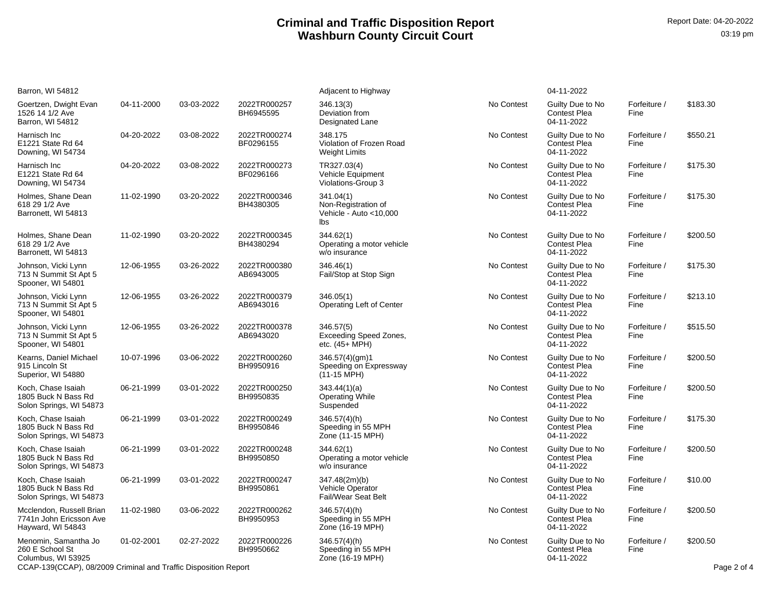| Barron, WI 54812                                                         |            |            |                           | Adjacent to Highway                                               |            | 04-11-2022                                            |                      |             |
|--------------------------------------------------------------------------|------------|------------|---------------------------|-------------------------------------------------------------------|------------|-------------------------------------------------------|----------------------|-------------|
| Goertzen, Dwight Evan<br>1526 14 1/2 Ave<br>Barron, WI 54812             | 04-11-2000 | 03-03-2022 | 2022TR000257<br>BH6945595 | 346.13(3)<br>Deviation from<br>Designated Lane                    | No Contest | Guilty Due to No<br><b>Contest Plea</b><br>04-11-2022 | Forfeiture /<br>Fine | \$183.30    |
| Harnisch Inc<br>E1221 State Rd 64<br>Downing, WI 54734                   | 04-20-2022 | 03-08-2022 | 2022TR000274<br>BF0296155 | 348.175<br>Violation of Frozen Road<br><b>Weight Limits</b>       | No Contest | Guilty Due to No<br><b>Contest Plea</b><br>04-11-2022 | Forfeiture /<br>Fine | \$550.21    |
| Harnisch Inc<br>E1221 State Rd 64<br>Downing, WI 54734                   | 04-20-2022 | 03-08-2022 | 2022TR000273<br>BF0296166 | TR327.03(4)<br>Vehicle Equipment<br>Violations-Group 3            | No Contest | Guilty Due to No<br><b>Contest Plea</b><br>04-11-2022 | Forfeiture /<br>Fine | \$175.30    |
| Holmes, Shane Dean<br>618 29 1/2 Ave<br>Barronett, WI 54813              | 11-02-1990 | 03-20-2022 | 2022TR000346<br>BH4380305 | 341.04(1)<br>Non-Registration of<br>Vehicle - Auto <10,000<br>lbs | No Contest | Guilty Due to No<br><b>Contest Plea</b><br>04-11-2022 | Forfeiture /<br>Fine | \$175.30    |
| Holmes, Shane Dean<br>618 29 1/2 Ave<br>Barronett, WI 54813              | 11-02-1990 | 03-20-2022 | 2022TR000345<br>BH4380294 | 344.62(1)<br>Operating a motor vehicle<br>w/o insurance           | No Contest | Guilty Due to No<br><b>Contest Plea</b><br>04-11-2022 | Forfeiture /<br>Fine | \$200.50    |
| Johnson, Vicki Lynn<br>713 N Summit St Apt 5<br>Spooner, WI 54801        | 12-06-1955 | 03-26-2022 | 2022TR000380<br>AB6943005 | 346.46(1)<br>Fail/Stop at Stop Sign                               | No Contest | Guilty Due to No<br><b>Contest Plea</b><br>04-11-2022 | Forfeiture /<br>Fine | \$175.30    |
| Johnson, Vicki Lynn<br>713 N Summit St Apt 5<br>Spooner, WI 54801        | 12-06-1955 | 03-26-2022 | 2022TR000379<br>AB6943016 | 346.05(1)<br>Operating Left of Center                             | No Contest | Guilty Due to No<br><b>Contest Plea</b><br>04-11-2022 | Forfeiture /<br>Fine | \$213.10    |
| Johnson, Vicki Lynn<br>713 N Summit St Apt 5<br>Spooner, WI 54801        | 12-06-1955 | 03-26-2022 | 2022TR000378<br>AB6943020 | 346.57(5)<br><b>Exceeding Speed Zones,</b><br>etc. $(45+MPH)$     | No Contest | Guilty Due to No<br><b>Contest Plea</b><br>04-11-2022 | Forfeiture /<br>Fine | \$515.50    |
| Kearns, Daniel Michael<br>915 Lincoln St<br>Superior, WI 54880           | 10-07-1996 | 03-06-2022 | 2022TR000260<br>BH9950916 | 346.57(4)(gm)1<br>Speeding on Expressway<br>$(11-15 \text{ MPH})$ | No Contest | Guilty Due to No<br><b>Contest Plea</b><br>04-11-2022 | Forfeiture /<br>Fine | \$200.50    |
| Koch, Chase Isaiah<br>1805 Buck N Bass Rd<br>Solon Springs, WI 54873     | 06-21-1999 | 03-01-2022 | 2022TR000250<br>BH9950835 | 343.44(1)(a)<br><b>Operating While</b><br>Suspended               | No Contest | Guilty Due to No<br><b>Contest Plea</b><br>04-11-2022 | Forfeiture /<br>Fine | \$200.50    |
| Koch, Chase Isaiah<br>1805 Buck N Bass Rd<br>Solon Springs, WI 54873     | 06-21-1999 | 03-01-2022 | 2022TR000249<br>BH9950846 | $346.57(4)$ (h)<br>Speeding in 55 MPH<br>Zone (11-15 MPH)         | No Contest | Guilty Due to No<br><b>Contest Plea</b><br>04-11-2022 | Forfeiture /<br>Fine | \$175.30    |
| Koch, Chase Isaiah<br>1805 Buck N Bass Rd<br>Solon Springs, WI 54873     | 06-21-1999 | 03-01-2022 | 2022TR000248<br>BH9950850 | 344.62(1)<br>Operating a motor vehicle<br>w/o insurance           | No Contest | Guilty Due to No<br><b>Contest Plea</b><br>04-11-2022 | Forfeiture /<br>Fine | \$200.50    |
| Koch, Chase Isaiah<br>1805 Buck N Bass Rd<br>Solon Springs, WI 54873     | 06-21-1999 | 03-01-2022 | 2022TR000247<br>BH9950861 | 347.48(2m)(b)<br>Vehicle Operator<br>Fail/Wear Seat Belt          | No Contest | Guilty Due to No<br><b>Contest Plea</b><br>04-11-2022 | Forfeiture /<br>Fine | \$10.00     |
| Mcclendon, Russell Brian<br>7741n John Ericsson Ave<br>Hayward, WI 54843 | 11-02-1980 | 03-06-2022 | 2022TR000262<br>BH9950953 | 346.57(4)(h)<br>Speeding in 55 MPH<br>Zone (16-19 MPH)            | No Contest | Guilty Due to No<br><b>Contest Plea</b><br>04-11-2022 | Forfeiture /<br>Fine | \$200.50    |
| Menomin, Samantha Jo<br>260 E School St<br>Columbus, WI 53925            | 01-02-2001 | 02-27-2022 | 2022TR000226<br>BH9950662 | 346.57(4)(h)<br>Speeding in 55 MPH<br>Zone (16-19 MPH)            | No Contest | Guilty Due to No<br><b>Contest Plea</b><br>04-11-2022 | Forfeiture /<br>Fine | \$200.50    |
| CCAP-139(CCAP), 08/2009 Criminal and Traffic Disposition Report          |            |            |                           |                                                                   |            |                                                       |                      | Page 2 of 4 |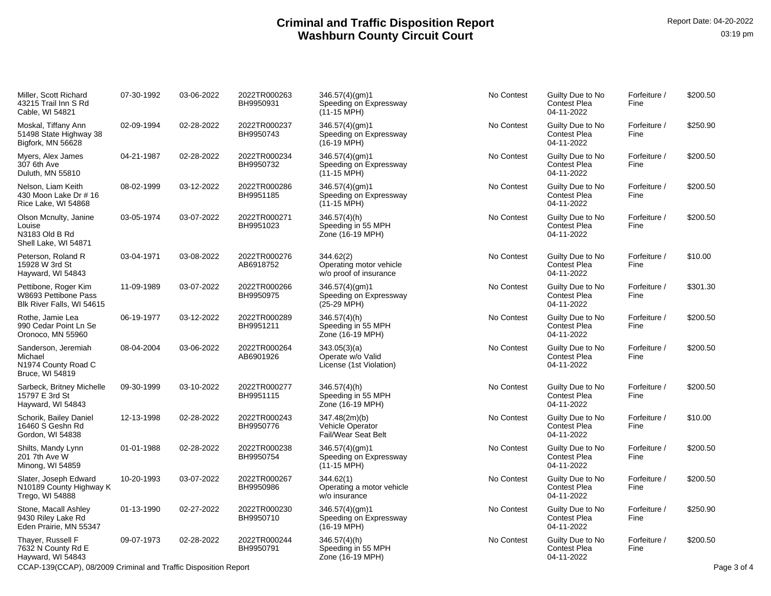| Miller, Scott Richard<br>43215 Trail Inn S Rd<br>Cable, WI 54821          | 07-30-1992 | 03-06-2022 | 2022TR000263<br>BH9950931 | 346.57(4)(gm)1<br>Speeding on Expressway<br>$(11-15 \text{ MPH})$ | No Contest | Guilty Due to No<br><b>Contest Plea</b><br>04-11-2022 | Forfeiture /<br>Fine | \$200.50    |
|---------------------------------------------------------------------------|------------|------------|---------------------------|-------------------------------------------------------------------|------------|-------------------------------------------------------|----------------------|-------------|
| Moskal, Tiffany Ann<br>51498 State Highway 38<br>Bigfork, MN 56628        | 02-09-1994 | 02-28-2022 | 2022TR000237<br>BH9950743 | 346.57(4)(gm)1<br>Speeding on Expressway<br>$(16-19 \text{ MPH})$ | No Contest | Guilty Due to No<br><b>Contest Plea</b><br>04-11-2022 | Forfeiture /<br>Fine | \$250.90    |
| Myers, Alex James<br>307 6th Ave<br>Duluth, MN 55810                      | 04-21-1987 | 02-28-2022 | 2022TR000234<br>BH9950732 | 346.57(4)(gm)1<br>Speeding on Expressway<br>$(11-15 \text{ MPH})$ | No Contest | Guilty Due to No<br><b>Contest Plea</b><br>04-11-2022 | Forfeiture /<br>Fine | \$200.50    |
| Nelson, Liam Keith<br>430 Moon Lake Dr # 16<br>Rice Lake, WI 54868        | 08-02-1999 | 03-12-2022 | 2022TR000286<br>BH9951185 | 346.57(4)(gm)1<br>Speeding on Expressway<br>$(11-15 \text{ MPH})$ | No Contest | Guilty Due to No<br><b>Contest Plea</b><br>04-11-2022 | Forfeiture /<br>Fine | \$200.50    |
| Olson Mcnulty, Janine<br>Louise<br>N3183 Old B Rd<br>Shell Lake, WI 54871 | 03-05-1974 | 03-07-2022 | 2022TR000271<br>BH9951023 | 346.57(4)(h)<br>Speeding in 55 MPH<br>Zone (16-19 MPH)            | No Contest | Guilty Due to No<br><b>Contest Plea</b><br>04-11-2022 | Forfeiture /<br>Fine | \$200.50    |
| Peterson, Roland R<br>15928 W 3rd St<br>Hayward, WI 54843                 | 03-04-1971 | 03-08-2022 | 2022TR000276<br>AB6918752 | 344.62(2)<br>Operating motor vehicle<br>w/o proof of insurance    | No Contest | Guilty Due to No<br><b>Contest Plea</b><br>04-11-2022 | Forfeiture /<br>Fine | \$10.00     |
| Pettibone, Roger Kim<br>W8693 Pettibone Pass<br>Blk River Falls, WI 54615 | 11-09-1989 | 03-07-2022 | 2022TR000266<br>BH9950975 | 346.57(4)(gm)1<br>Speeding on Expressway<br>(25-29 MPH)           | No Contest | Guilty Due to No<br><b>Contest Plea</b><br>04-11-2022 | Forfeiture /<br>Fine | \$301.30    |
| Rothe, Jamie Lea<br>990 Cedar Point Ln Se<br>Oronoco, MN 55960            | 06-19-1977 | 03-12-2022 | 2022TR000289<br>BH9951211 | 346.57(4)(h)<br>Speeding in 55 MPH<br>Zone (16-19 MPH)            | No Contest | Guilty Due to No<br><b>Contest Plea</b><br>04-11-2022 | Forfeiture /<br>Fine | \$200.50    |
| Sanderson, Jeremiah<br>Michael<br>N1974 County Road C<br>Bruce, WI 54819  | 08-04-2004 | 03-06-2022 | 2022TR000264<br>AB6901926 | 343.05(3)(a)<br>Operate w/o Valid<br>License (1st Violation)      | No Contest | Guilty Due to No<br><b>Contest Plea</b><br>04-11-2022 | Forfeiture /<br>Fine | \$200.50    |
| Sarbeck, Britney Michelle<br>15797 E 3rd St<br>Hayward, WI 54843          | 09-30-1999 | 03-10-2022 | 2022TR000277<br>BH9951115 | $346.57(4)$ (h)<br>Speeding in 55 MPH<br>Zone (16-19 MPH)         | No Contest | Guilty Due to No<br><b>Contest Plea</b><br>04-11-2022 | Forfeiture /<br>Fine | \$200.50    |
| Schorik, Bailey Daniel<br>16460 S Geshn Rd<br>Gordon, WI 54838            | 12-13-1998 | 02-28-2022 | 2022TR000243<br>BH9950776 | 347.48(2m)(b)<br>Vehicle Operator<br>Fail/Wear Seat Belt          | No Contest | Guilty Due to No<br><b>Contest Plea</b><br>04-11-2022 | Forfeiture /<br>Fine | \$10.00     |
| Shilts, Mandy Lynn<br>201 7th Ave W<br>Minong, WI 54859                   | 01-01-1988 | 02-28-2022 | 2022TR000238<br>BH9950754 | 346.57(4)(gm)1<br>Speeding on Expressway<br>$(11-15 \text{ MPH})$ | No Contest | Guilty Due to No<br><b>Contest Plea</b><br>04-11-2022 | Forfeiture /<br>Fine | \$200.50    |
| Slater, Joseph Edward<br>N10189 County Highway K<br>Trego, WI 54888       | 10-20-1993 | 03-07-2022 | 2022TR000267<br>BH9950986 | 344.62(1)<br>Operating a motor vehicle<br>w/o insurance           | No Contest | Guilty Due to No<br><b>Contest Plea</b><br>04-11-2022 | Forfeiture /<br>Fine | \$200.50    |
| Stone, Macall Ashley<br>9430 Riley Lake Rd<br>Eden Prairie, MN 55347      | 01-13-1990 | 02-27-2022 | 2022TR000230<br>BH9950710 | 346.57(4)(gm)1<br>Speeding on Expressway<br>$(16-19 \text{ MPH})$ | No Contest | Guilty Due to No<br><b>Contest Plea</b><br>04-11-2022 | Forfeiture /<br>Fine | \$250.90    |
| Thayer, Russell F<br>7632 N County Rd E<br>Hayward, WI 54843              | 09-07-1973 | 02-28-2022 | 2022TR000244<br>BH9950791 | 346.57(4)(h)<br>Speeding in 55 MPH<br>Zone (16-19 MPH)            | No Contest | Guilty Due to No<br><b>Contest Plea</b><br>04-11-2022 | Forfeiture /<br>Fine | \$200.50    |
| CCAP-139(CCAP), 08/2009 Criminal and Traffic Disposition Report           |            |            |                           |                                                                   |            |                                                       |                      | Page 3 of 4 |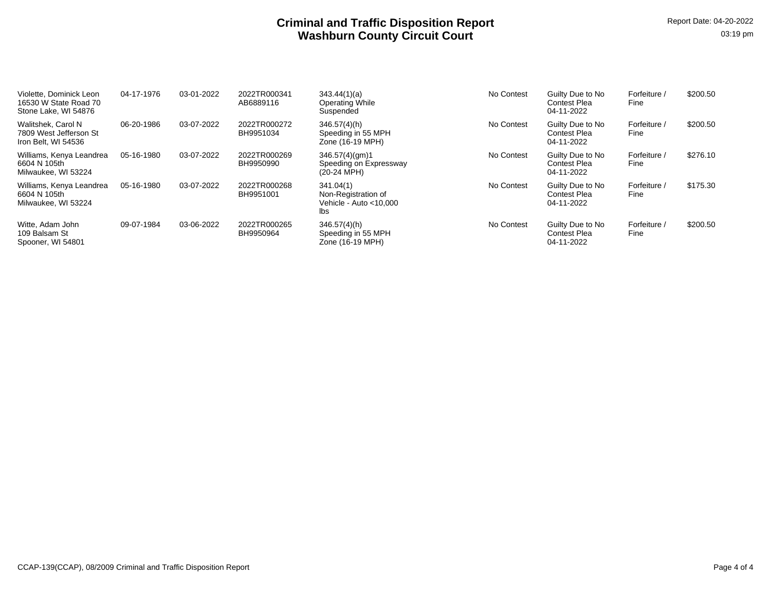| Violette, Dominick Leon<br>16530 W State Road 70<br>Stone Lake, WI 54876 | 04-17-1976 | 03-01-2022 | 2022TR000341<br>AB6889116 | 343.44(1)(a)<br>Operating While<br>Suspended                         | No Contest | Guilty Due to No<br><b>Contest Plea</b><br>04-11-2022 | Forfeiture /<br>Fine | \$200.50 |
|--------------------------------------------------------------------------|------------|------------|---------------------------|----------------------------------------------------------------------|------------|-------------------------------------------------------|----------------------|----------|
| Walitshek, Carol N<br>7809 West Jefferson St<br>Iron Belt, WI 54536      | 06-20-1986 | 03-07-2022 | 2022TR000272<br>BH9951034 | 346.57(4)(h)<br>Speeding in 55 MPH<br>Zone (16-19 MPH)               | No Contest | Guilty Due to No<br><b>Contest Plea</b><br>04-11-2022 | Forfeiture /<br>Fine | \$200.50 |
| Williams, Kenya Leandrea<br>6604 N 105th<br>Milwaukee, WI 53224          | 05-16-1980 | 03-07-2022 | 2022TR000269<br>BH9950990 | 346.57(4)(gm)1<br>Speeding on Expressway<br>(20-24 MPH)              | No Contest | Guilty Due to No<br>Contest Plea<br>04-11-2022        | Forfeiture /<br>Fine | \$276.10 |
| Williams, Kenya Leandrea<br>6604 N 105th<br>Milwaukee, WI 53224          | 05-16-1980 | 03-07-2022 | 2022TR000268<br>BH9951001 | 341.04(1)<br>Non-Registration of<br>Vehicle - Auto $<$ 10.000<br>lbs | No Contest | Guilty Due to No<br>Contest Plea<br>04-11-2022        | Forfeiture /<br>Fine | \$175.30 |
| Witte, Adam John<br>109 Balsam St<br>Spooner, WI 54801                   | 09-07-1984 | 03-06-2022 | 2022TR000265<br>BH9950964 | 346.57(4)(h)<br>Speeding in 55 MPH<br>Zone (16-19 MPH)               | No Contest | Guilty Due to No<br><b>Contest Plea</b><br>04-11-2022 | Forfeiture /<br>Fine | \$200.50 |